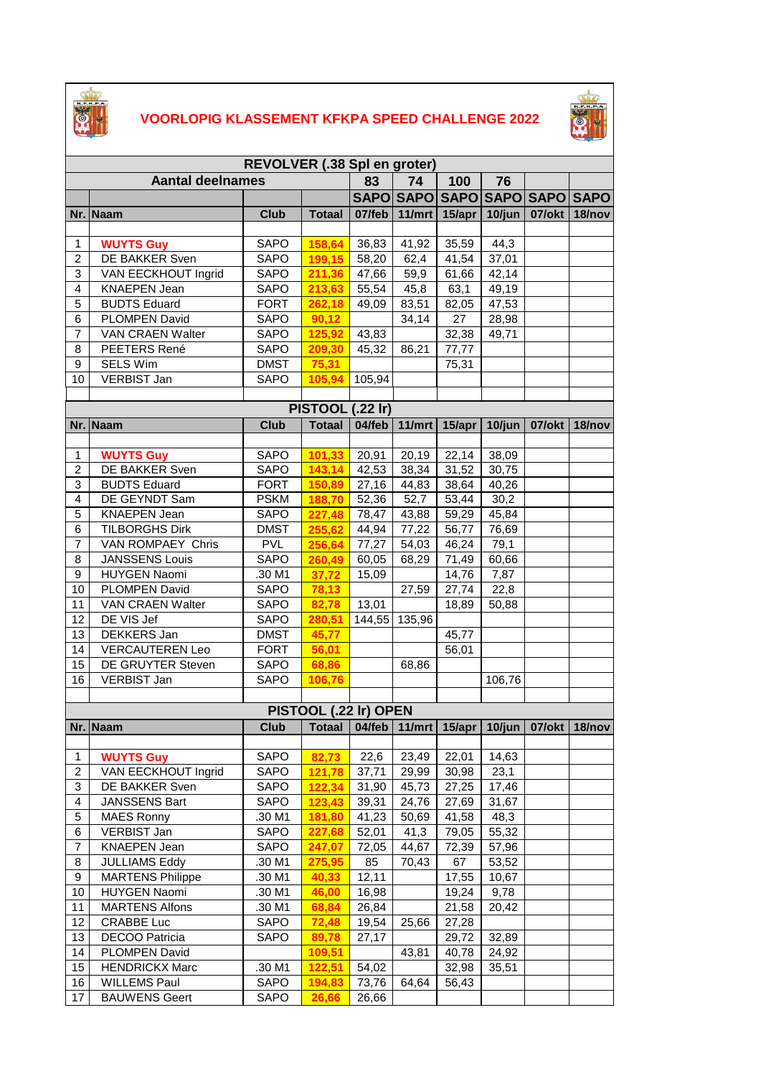

## **VOORLOPIG KLASSEMENT KFKPA SPEED CHALLENGE 2022**



| REVOLVER (.38 Spl en groter) |                         |             |                                                                     |           |           |        |        |                     |        |  |  |
|------------------------------|-------------------------|-------------|---------------------------------------------------------------------|-----------|-----------|--------|--------|---------------------|--------|--|--|
|                              | <b>Aantal deelnames</b> |             |                                                                     | 83        | 74        | 100    | 76     |                     |        |  |  |
|                              |                         |             |                                                                     |           | SAPO SAPO |        |        | SAPO SAPO SAPO SAPO |        |  |  |
|                              | Nr. Naam                | <b>Club</b> | <b>Totaal</b>                                                       | 07/feb    | 11/mrt    | 15/apr | 10/jun | 07/okt              | 18/nov |  |  |
|                              |                         |             |                                                                     |           |           |        |        |                     |        |  |  |
| $\mathbf{1}$                 | <b>WUYTS Guy</b>        | SAPO        | 158,64                                                              | 36,83     | 41,92     | 35,59  | 44,3   |                     |        |  |  |
| $\overline{c}$               | DE BAKKER Sven          | <b>SAPO</b> | 199,15                                                              | 58,20     | 62,4      | 41,54  | 37,01  |                     |        |  |  |
| 3                            | VAN EECKHOUT Ingrid     | SAPO        | 211,36                                                              | 47,66     | 59,9      | 61,66  | 42,14  |                     |        |  |  |
| 4                            | <b>KNAEPEN Jean</b>     | <b>SAPO</b> | 213,63                                                              | 55,54     | 45,8      | 63,1   | 49,19  |                     |        |  |  |
| 5                            | <b>BUDTS Eduard</b>     | <b>FORT</b> | 262,18                                                              | 49,09     | 83,51     | 82,05  | 47,53  |                     |        |  |  |
| 6                            | PLOMPEN David           | SAPO        | 90,12                                                               |           | 34,14     | 27     | 28,98  |                     |        |  |  |
| $\overline{7}$               | VAN CRAEN Walter        | SAPO        | 125,92                                                              | 43,83     |           | 32,38  | 49,71  |                     |        |  |  |
| 8                            | PEETERS René            | SAPO        | 209,30                                                              | 45,32     | 86,21     | 77,77  |        |                     |        |  |  |
| 9                            | <b>SELS Wim</b>         | <b>DMST</b> | 75,31                                                               |           |           | 75,31  |        |                     |        |  |  |
| 10                           | <b>VERBIST Jan</b>      | <b>SAPO</b> | 105,94                                                              | 105,94    |           |        |        |                     |        |  |  |
|                              |                         |             |                                                                     |           |           |        |        |                     |        |  |  |
|                              |                         |             | PISTOOL (.22 Ir)                                                    |           |           |        |        |                     |        |  |  |
|                              | Nr. Naam                | <b>Club</b> | <b>Totaal</b>                                                       | $04$ /feb | 11/mrt    | 15/apr | 10/jun | $07$ /okt           | 18/nov |  |  |
|                              |                         |             |                                                                     |           |           |        |        |                     |        |  |  |
| $\mathbf{1}$                 | <b>WUYTS Guy</b>        | SAPO        | 101,33                                                              | 20,91     | 20,19     | 22,14  | 38,09  |                     |        |  |  |
| $\overline{c}$               | DE BAKKER Sven          | <b>SAPO</b> | 143,14                                                              | 42,53     | 38,34     | 31,52  | 30,75  |                     |        |  |  |
| 3                            | <b>BUDTS Eduard</b>     | <b>FORT</b> | 150,89                                                              | 27,16     | 44,83     | 38,64  | 40,26  |                     |        |  |  |
| 4                            | DE GEYNDT Sam           | <b>PSKM</b> | 188,70                                                              | 52,36     | 52,7      | 53,44  | 30,2   |                     |        |  |  |
| 5                            | <b>KNAEPEN Jean</b>     | SAPO        | 227,48                                                              | 78,47     | 43,88     | 59,29  | 45,84  |                     |        |  |  |
| 6                            | <b>TILBORGHS Dirk</b>   | <b>DMST</b> | 255,62                                                              | 44,94     | 77,22     | 56,77  | 76,69  |                     |        |  |  |
| $\overline{7}$               | VAN ROMPAEY Chris       | <b>PVL</b>  | 256,64                                                              | 77,27     | 54,03     | 46,24  | 79,1   |                     |        |  |  |
| 8                            | <b>JANSSENS Louis</b>   | <b>SAPO</b> | 260,49                                                              | 60,05     | 68,29     | 71,49  | 60,66  |                     |        |  |  |
| 9                            | <b>HUYGEN Naomi</b>     | .30 M1      | 37,72                                                               | 15,09     |           | 14,76  | 7,87   |                     |        |  |  |
| 10                           | PLOMPEN David           | <b>SAPO</b> | 78,13                                                               |           | 27,59     | 27,74  | 22,8   |                     |        |  |  |
| 11                           | VAN CRAEN Walter        | <b>SAPO</b> | 82,78                                                               | 13,01     |           | 18,89  | 50,88  |                     |        |  |  |
| 12                           | DE VIS Jef              | <b>SAPO</b> | 280,51                                                              | 144,55    | 135,96    |        |        |                     |        |  |  |
| 13                           | DEKKERS Jan             | <b>DMST</b> | 45,77                                                               |           |           | 45,77  |        |                     |        |  |  |
| 14                           | <b>VERCAUTEREN Leo</b>  | <b>FORT</b> | 56,01                                                               |           |           | 56,01  |        |                     |        |  |  |
| 15                           | DE GRUYTER Steven       | <b>SAPO</b> | 68,86                                                               |           | 68,86     |        |        |                     |        |  |  |
| 16                           | <b>VERBIST Jan</b>      | SAPO        | 106,76                                                              |           |           |        | 106,76 |                     |        |  |  |
|                              |                         |             | PISTOOL (.22 Ir) OPEN                                               |           |           |        |        |                     |        |  |  |
|                              | Nr. Naam                |             | Club   Totaal   04/feb   11/mrt   15/apr   10/jun   07/okt   18/nov |           |           |        |        |                     |        |  |  |
|                              |                         |             |                                                                     |           |           |        |        |                     |        |  |  |
| $\mathbf{1}$                 | <b>WUYTS Guy</b>        | <b>SAPO</b> | 82,73                                                               | 22,6      | 23,49     | 22,01  | 14,63  |                     |        |  |  |
| 2                            | VAN EECKHOUT Ingrid     | SAPO        | 121,78                                                              | 37,71     | 29,99     | 30,98  | 23,1   |                     |        |  |  |
| 3                            | DE BAKKER Sven          | SAPO        | 122,34                                                              | 31,90     | 45,73     | 27,25  | 17,46  |                     |        |  |  |
| 4                            | JANSSENS Bart           | <b>SAPO</b> | 123,43                                                              | 39,31     | 24,76     | 27,69  | 31,67  |                     |        |  |  |
| 5                            | <b>MAES Ronny</b>       | .30 M1      | 181,80                                                              | 41,23     | 50,69     | 41,58  | 48,3   |                     |        |  |  |
| 6                            | <b>VERBIST Jan</b>      | <b>SAPO</b> | 227,68                                                              | 52,01     | 41,3      | 79,05  | 55,32  |                     |        |  |  |
| $\overline{7}$               | <b>KNAEPEN Jean</b>     | SAPO        | 247,07                                                              | 72,05     | 44,67     | 72,39  | 57,96  |                     |        |  |  |
| 8                            | <b>JULLIAMS Eddy</b>    | .30 M1      | 275,95                                                              | 85        | 70,43     | 67     | 53,52  |                     |        |  |  |
| 9                            | <b>MARTENS Philippe</b> | .30 M1      | 40,33                                                               | 12,11     |           | 17,55  | 10,67  |                     |        |  |  |
| 10                           | <b>HUYGEN Naomi</b>     | .30 M1      | 46,00                                                               | 16,98     |           | 19,24  | 9,78   |                     |        |  |  |
| 11                           | <b>MARTENS Alfons</b>   | .30 M1      | 68,84                                                               | 26,84     |           | 21,58  | 20,42  |                     |        |  |  |
| 12                           | <b>CRABBE Luc</b>       | <b>SAPO</b> | 72,48                                                               | 19,54     | 25,66     | 27,28  |        |                     |        |  |  |
| 13                           | <b>DECOO Patricia</b>   | <b>SAPO</b> | 89,78                                                               | 27,17     |           | 29,72  | 32,89  |                     |        |  |  |
| 14                           | <b>PLOMPEN David</b>    |             | 109,51                                                              |           | 43,81     | 40,78  | 24,92  |                     |        |  |  |
| 15                           | <b>HENDRICKX Marc</b>   | .30 M1      | 122,51                                                              | 54,02     |           | 32,98  | 35,51  |                     |        |  |  |
| 16                           | <b>WILLEMS Paul</b>     | SAPO        | 194,83                                                              | 73,76     | 64,64     | 56,43  |        |                     |        |  |  |
| 17                           | <b>BAUWENS Geert</b>    | SAPO        | 26,66                                                               | 26,66     |           |        |        |                     |        |  |  |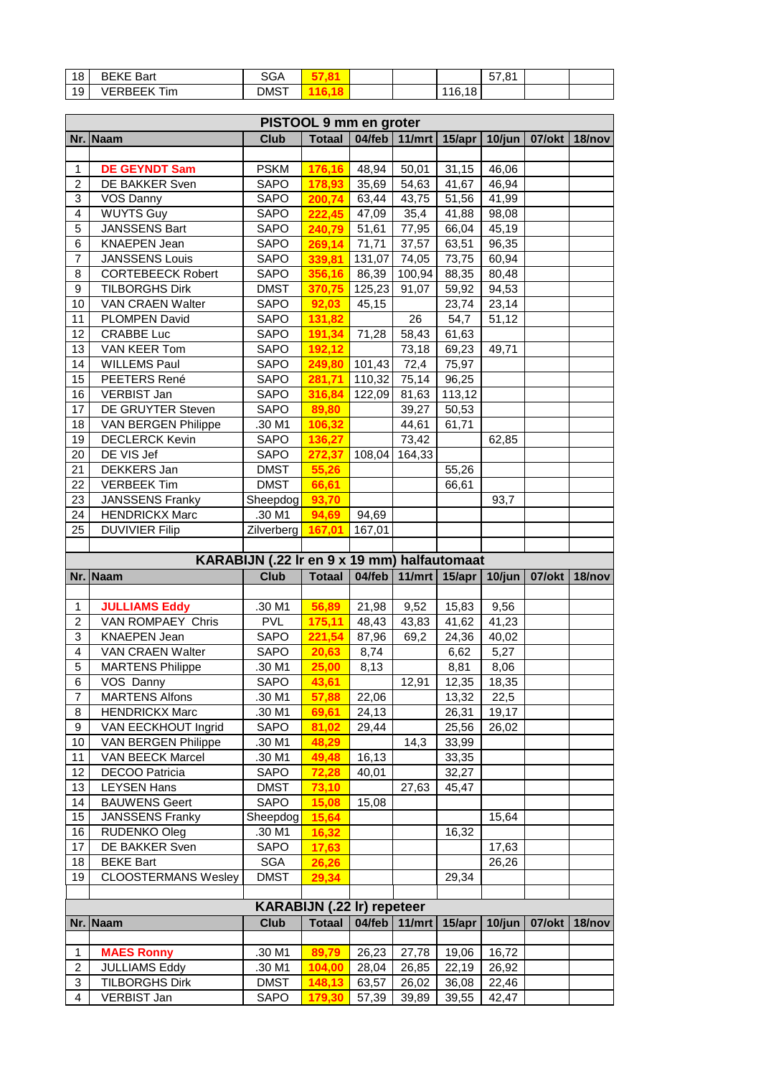| 18         | <b>BEKE Bart</b>      | ດ ^ ^<br>אטס, |  |        | 57.81<br>57. O |  |
|------------|-----------------------|---------------|--|--------|----------------|--|
| 10.<br>. ט | <b>VERREEK</b><br>Tim | <b>DMST</b>   |  | 116,18 |                |  |

|                                  | PISTOOL 9 mm en groter                          |                                             |                  |                               |                |                 |                |                                            |        |
|----------------------------------|-------------------------------------------------|---------------------------------------------|------------------|-------------------------------|----------------|-----------------|----------------|--------------------------------------------|--------|
|                                  | Nr. Naam                                        | <b>Club</b>                                 | <b>Totaal</b>    | $04$ /feb                     |                | 11/mrt   15/apr | $10$ /jun      | 07/okt   18/nov                            |        |
|                                  |                                                 |                                             |                  |                               |                |                 |                |                                            |        |
| 1                                | <b>DE GEYNDT Sam</b>                            | <b>PSKM</b>                                 | 176,16           | 48,94                         | 50,01          | 31,15           | 46,06          |                                            |        |
| $\overline{c}$                   | DE BAKKER Sven                                  | SAPO                                        | 178,93           | 35,69                         | 54,63          | 41,67           | 46,94          |                                            |        |
| 3                                | VOS Danny                                       | SAPO                                        | 200,74           | 63,44                         | 43,75          | 51,56           | 41,99          |                                            |        |
| $\overline{\mathbf{4}}$          | <b>WUYTS Guy</b>                                | SAPO                                        | 222,45           | 47,09                         | 35,4           | 41,88           | 98,08          |                                            |        |
| 5                                | JANSSENS Bart                                   | SAPO                                        | 240,79           | 51,61                         | 77,95          | 66,04           | 45,19          |                                            |        |
| 6<br>$\overline{7}$              | <b>KNAEPEN Jean</b>                             | SAPO                                        | 269,14           | 71,71                         | 37,57          | 63,51           | 96,35          |                                            |        |
|                                  | <b>JANSSENS Louis</b>                           | SAPO                                        | 339,81           | 131,07                        | 74,05          | 73,75           | 60,94          |                                            |        |
| 8                                | <b>CORTEBEECK Robert</b>                        | SAPO                                        | 356,16           | 86,39                         | 100,94         | 88,35           | 80,48          |                                            |        |
| 9                                | <b>TILBORGHS Dirk</b>                           | <b>DMST</b>                                 | 370,75           | 125,23                        | 91,07          | 59,92           | 94,53          |                                            |        |
| 10<br>11                         | VAN CRAEN Walter<br>PLOMPEN David               | SAPO<br>SAPO                                | 92,03            | 45,15                         | 26             | 23,74<br>54,7   | 23,14          |                                            |        |
|                                  | <b>CRABBE Luc</b>                               |                                             | 131,82           |                               |                |                 | 51,12          |                                            |        |
| 12<br>13                         | VAN KEER Tom                                    | SAPO                                        | 191,34           | 71,28                         | 58,43          | 61,63           |                |                                            |        |
|                                  |                                                 | SAPO                                        | 192,12           |                               | 73,18          | 69,23           | 49,71          |                                            |        |
| 14                               | <b>WILLEMS Paul</b>                             | SAPO                                        | 249,80           | $\overline{101,43}$<br>110,32 | 72,4           | 75,97           |                |                                            |        |
| 15<br>16                         | PEETERS René<br><b>VERBIST Jan</b>              | SAPO                                        | 281,71           | 122,09                        | 75,14          | 96,25           |                |                                            |        |
|                                  |                                                 | SAPO                                        | 316,84           |                               | 81,63          | 113,12          |                |                                            |        |
| 17                               | DE GRUYTER Steven<br><b>VAN BERGEN Philippe</b> | SAPO                                        | 89,80            |                               | 39,27<br>44,61 | 50,53           |                |                                            |        |
| 18<br>19                         |                                                 | .30 M1                                      | 106,32           |                               |                | 61,71           |                |                                            |        |
|                                  | <b>DECLERCK Kevin</b>                           | SAPO                                        | 136,27           |                               | 73,42          |                 | 62,85          |                                            |        |
| 20<br>21                         | DE VIS Jef<br>DEKKERS Jan                       | SAPO<br><b>DMST</b>                         | 272,37           | 108,04                        | 164,33         | 55,26           |                |                                            |        |
|                                  |                                                 | <b>DMST</b>                                 | 55,26            |                               |                |                 |                |                                            |        |
| 22                               | <b>VERBEEK Tim</b>                              |                                             | 66,61            |                               |                | 66,61           |                |                                            |        |
| 23                               | JANSSENS Franky                                 | Sheepdog                                    | 93,70            |                               |                |                 | 93,7           |                                            |        |
| 24                               | <b>HENDRICKX Marc</b>                           | .30 M1                                      | 94,69            | 94,69                         |                |                 |                |                                            |        |
| 25                               | <b>DUVIVIER Filip</b>                           | Zilverberg                                  | 167,01           | 167,01                        |                |                 |                |                                            |        |
|                                  |                                                 |                                             |                  |                               |                |                 |                |                                            |        |
|                                  |                                                 |                                             |                  |                               |                |                 |                |                                            |        |
|                                  |                                                 | KARABIJN (.22 Ir en 9 x 19 mm) halfautomaat |                  |                               |                |                 |                |                                            |        |
|                                  | Nr. Naam                                        | <b>Club</b>                                 | <b>Totaal</b>    | $04$ /feb                     |                |                 |                | 11/mrt   15/apr   10/jun   07/okt   18/nov |        |
|                                  |                                                 |                                             |                  |                               |                |                 |                |                                            |        |
| 1                                | <b>JULLIAMS Eddy</b>                            | .30 M1                                      | 56,89            | 21,98                         | 9,52           | 15,83           | 9,56           |                                            |        |
| $\overline{2}$                   | VAN ROMPAEY Chris                               | <b>PVL</b>                                  | 175,11           | 48,43                         | 43,83          | 41,62           | 41,23          |                                            |        |
| 3                                | <b>KNAEPEN Jean</b>                             | SAPO                                        | 221,54           | 87,96                         | 69,2           | 24,36           | 40,02          |                                            |        |
| $\overline{\mathbf{4}}$          | VAN CRAEN Walter                                | <b>SAPO</b>                                 | 20,63            | 8,74                          |                | 6,62            | 5,27           |                                            |        |
| 5                                | <b>MARTENS Philippe</b>                         | .30 M1                                      | 25,00            | 8,13                          |                | 8,81            | 8,06           |                                            |        |
| 6                                | VOS Danny                                       | SAPO                                        | 43,61            |                               | 12,91          | 12,35           | 18,35          |                                            |        |
| $\overline{7}$                   | <b>MARTENS Alfons</b>                           | .30 M1                                      | 57,88            | 22,06                         |                | 13,32           | 22,5           |                                            |        |
| 8                                | <b>HENDRICKX Marc</b>                           | .30 M1                                      | 69,61            | 24,13                         |                | 26,31           | 19,17          |                                            |        |
| 9                                | VAN EECKHOUT Ingrid                             | SAPO                                        | 81,02            | 29,44                         |                | 25,56           | 26,02          |                                            |        |
|                                  | VAN BERGEN Philippe                             | .30 M1                                      | 48,29            |                               | 14,3           | 33,99           |                |                                            |        |
| 10                               | <b>VAN BEECK Marcel</b>                         | .30 M1                                      | 49,48            | 16,13                         |                | 33,35           |                |                                            |        |
|                                  | DECOO Patricia                                  | SAPO                                        | 72,28            | 40,01                         |                | 32,27           |                |                                            |        |
|                                  | <b>LEYSEN Hans</b>                              | <b>DMST</b>                                 | 73,10            |                               | 27,63          | 45,47           |                |                                            |        |
|                                  | <b>BAUWENS Geert</b>                            | SAPO                                        | 15,08            | 15,08                         |                |                 |                |                                            |        |
|                                  | <b>JANSSENS Franky</b>                          | Sheepdog                                    | 15,64            |                               |                |                 | 15,64          |                                            |        |
|                                  | RUDENKO Oleg                                    | .30 M1                                      | 16,32            |                               |                | 16,32           |                |                                            |        |
|                                  | DE BAKKER Sven                                  | SAPO                                        | 17,63            |                               |                |                 | 17,63          |                                            |        |
|                                  | <b>BEKE Bart</b>                                | SGA                                         | 26,26            |                               |                |                 | 26,26          |                                            |        |
| 16<br>18<br>19                   | <b>CLOOSTERMANS Wesley</b>                      | <b>DMST</b>                                 | 29,34            |                               |                | 29,34           |                |                                            |        |
|                                  |                                                 |                                             |                  |                               |                |                 |                |                                            |        |
| 11<br>12<br>13<br>14<br>15<br>17 |                                                 | <b>KARABIJN (.22 Ir) repeteer</b>           |                  |                               |                |                 |                |                                            |        |
|                                  | Nr. Naam                                        | <b>Club</b>                                 | <b>Totaal</b>    | 04/feb                        | 11/mrt         | 15/apr          | $10$ /jun      | 07/okt                                     | 18/nov |
| 1                                |                                                 |                                             |                  |                               |                |                 |                |                                            |        |
|                                  | <b>MAES Ronny</b>                               | .30 M1                                      | 89,79            | 26,23                         | 27,78          | 19,06           | 16,72          |                                            |        |
| $\overline{\mathbf{c}}$<br>3     | <b>JULLIAMS Eddy</b><br><b>TILBORGHS Dirk</b>   | .30 M1<br><b>DMST</b>                       | 104,00<br>148,13 | 28,04<br>63,57                | 26,85<br>26,02 | 22,19<br>36,08  | 26,92<br>22,46 |                                            |        |